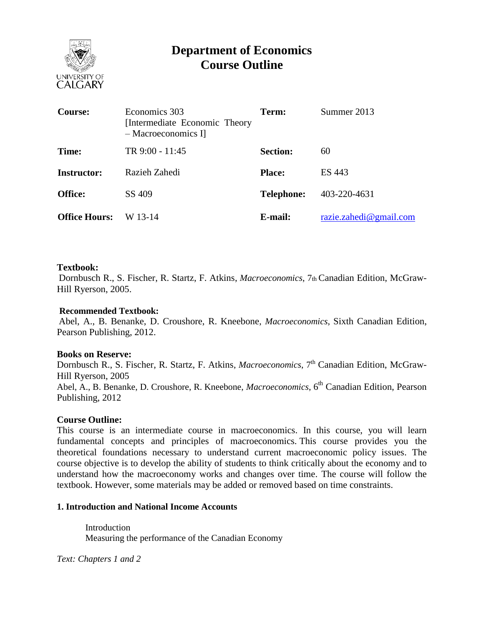

# **Department of Economics Course Outline**

| <b>Course:</b>       | Economics 303<br>[Intermediate Economic Theory]<br>- Macroeconomics I | Term:             | Summer 2013            |
|----------------------|-----------------------------------------------------------------------|-------------------|------------------------|
| Time:                | TR 9:00 - 11:45                                                       | <b>Section:</b>   | 60                     |
| <b>Instructor:</b>   | Razieh Zahedi                                                         | <b>Place:</b>     | ES 443                 |
| <b>Office:</b>       | SS 409                                                                | <b>Telephone:</b> | 403-220-4631           |
| <b>Office Hours:</b> | W 13-14                                                               | E-mail:           | razie.zahedi@gmail.com |

## **Textbook:**

Dornbusch R., S. Fischer, R. Startz, F. Atkins, *Macroeconomics*, 7th Canadian Edition, McGraw-Hill Ryerson, 2005.

## **Recommended Textbook:**

Abel, A., B. Benanke, D. Croushore, R. Kneebone, *Macroeconomics*, Sixth Canadian Edition, Pearson Publishing, 2012.

### **Books on Reserve:**

Dornbusch R., S. Fischer, R. Startz, F. Atkins, *Macroeconomics*, 7<sup>th</sup> Canadian Edition, McGraw-Hill Ryerson, 2005 Abel, A., B. Benanke, D. Croushore, R. Kneebone, *Macroeconomics*, 6<sup>th</sup> Canadian Edition, Pearson Publishing, 2012

### **Course Outline:**

This course is an intermediate course in macroeconomics. In this course, you will learn fundamental concepts and principles of macroeconomics. This course provides you the theoretical foundations necessary to understand current macroeconomic policy issues. The course objective is to develop the ability of students to think critically about the economy and to understand how the macroeconomy works and changes over time. The course will follow the textbook. However, some materials may be added or removed based on time constraints.

# **1. Introduction and National Income Accounts**

**Introduction** Measuring the performance of the Canadian Economy

*Text: Chapters 1 and 2*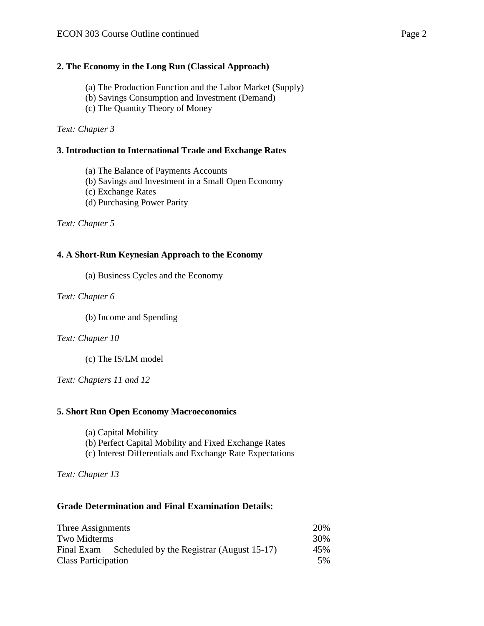### **2. The Economy in the Long Run (Classical Approach)**

- (a) The Production Function and the Labor Market (Supply)
- (b) Savings Consumption and Investment (Demand)
- (c) The Quantity Theory of Money

*Text: Chapter 3*

#### **3. Introduction to International Trade and Exchange Rates**

(a) The Balance of Payments Accounts

(b) Savings and Investment in a Small Open Economy

(c) Exchange Rates

(d) Purchasing Power Parity

*Text: Chapter 5* 

### **4. A Short-Run Keynesian Approach to the Economy**

(a) Business Cycles and the Economy

*Text: Chapter 6*

(b) Income and Spending

#### *Text: Chapter 10*

(c) The IS/LM model

*Text: Chapters 11 and 12*

#### **5. Short Run Open Economy Macroeconomics**

- (a) Capital Mobility
- (b) Perfect Capital Mobility and Fixed Exchange Rates
- (c) Interest Differentials and Exchange Rate Expectations

*Text: Chapter 13* 

### **Grade Determination and Final Examination Details:**

| Three Assignments          |                                                      |     |
|----------------------------|------------------------------------------------------|-----|
| Two Midterms               |                                                      | 30% |
|                            | Final Exam Scheduled by the Registrar (August 15-17) | 45% |
| <b>Class Participation</b> |                                                      |     |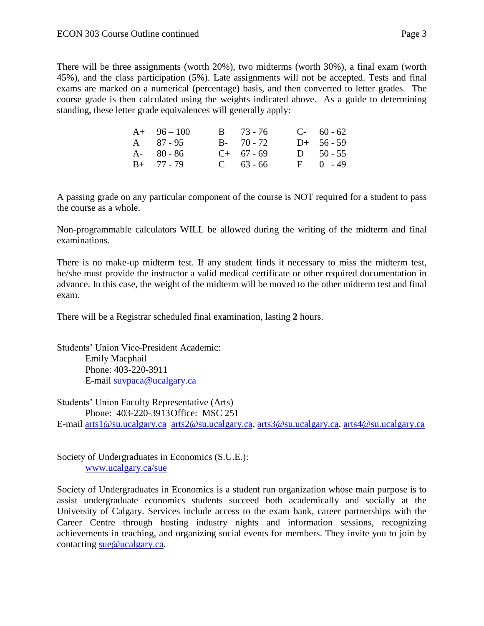There will be three assignments (worth 20%), two midterms (worth 30%), a final exam (worth 45%), and the class participation (5%). Late assignments will not be accepted. Tests and final exams are marked on a numerical (percentage) basis, and then converted to letter grades. The course grade is then calculated using the weights indicated above. As a guide to determining standing, these letter grade equivalences will generally apply:

| $A+ 96-100$   | $B = 73 - 76$ | $C-60-62$    |
|---------------|---------------|--------------|
| A 87-95       | $B - 70 - 72$ | $D+ 56 - 59$ |
| $A - 80 - 86$ | $C+ 67 - 69$  | D $50 - 55$  |
| $B+ 77 - 79$  | $C = 63 - 66$ | $F = 0 - 49$ |

A passing grade on any particular component of the course is NOT required for a student to pass the course as a whole.

Non-programmable calculators WILL be allowed during the writing of the midterm and final examinations.

There is no make-up midterm test. If any student finds it necessary to miss the midterm test, he/she must provide the instructor a valid medical certificate or other required documentation in advance. In this case, the weight of the midterm will be moved to the other midterm test and final exam.

There will be a Registrar scheduled final examination, lasting **2** hours.

Students' Union Vice-President Academic: Emily Macphail Phone: 403-220-3911 E-mail [suvpaca@ucalgary.ca](mailto:subpaca@ucalgary.ca)

Students' Union Faculty Representative (Arts) Phone: 403-220-3913Office: MSC 251 E-mail [arts1@su.ucalgary.ca](mailto:arts1@su.ucalgary.ca) [arts2@su.ucalgary.ca,](mailto:arts2@su.ucalgary.ca) [arts3@su.ucalgary.ca,](mailto:arts3@su.ucalgary.ca) [arts4@su.ucalgary.ca](mailto:arts4@su.ucalgary.ca)

Society of Undergraduates in Economics (S.U.E.): [www.ucalgary.ca/sue](http://www.fp.ucalgary.ca/econ)

Society of Undergraduates in Economics is a student run organization whose main purpose is to assist undergraduate economics students succeed both academically and socially at the University of Calgary. Services include access to the exam bank, career partnerships with the Career Centre through hosting industry nights and information sessions, recognizing achievements in teaching, and organizing social events for members. They invite you to join by contacting [sue@ucalgary.ca.](mailto:sue@ucalgary.ca)